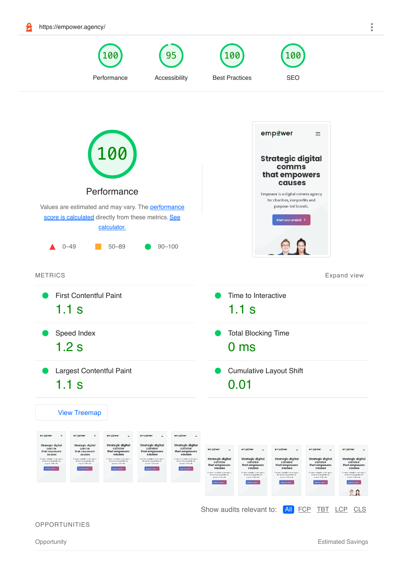<span id="page-0-0"></span>

**OPPORTUNITIES**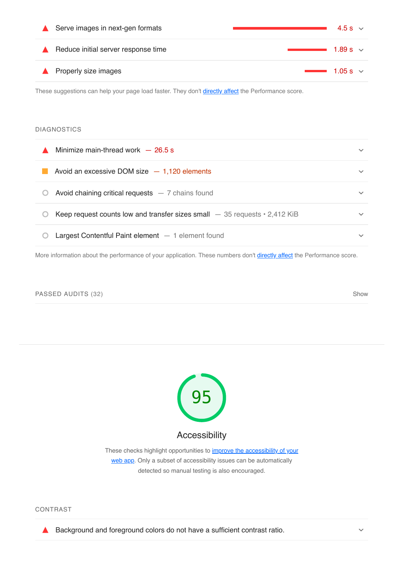| Serve images in next-gen formats    | 4.5 s $\vee$         |
|-------------------------------------|----------------------|
| Reduce initial server response time | $\sim$ 1.89 s $\sim$ |
| Properly size images                | $\sim$ 1.05 s $\sim$ |

These suggestions can help your page load faster. They don't *directly affect* the Performance score.

# DIAGNOSTICS

| Minimize main-thread work $-26.5$ s                                               | $\checkmark$ |
|-----------------------------------------------------------------------------------|--------------|
| Avoid an excessive DOM size $-1,120$ elements                                     | $\checkmark$ |
| Avoid chaining critical requests $-7$ chains found                                | $\checkmark$ |
| Keep request counts low and transfer sizes small $-35$ requests $\cdot$ 2,412 KiB | $\checkmark$ |
| Largest Contentful Paint element $-1$ element found                               | $\checkmark$ |

More information about the performance of your application. These numbers don't [directly affect](https://web.dev/performance-scoring/?utm_source=lighthouse&utm_medium=lr) the Performance score.

### <span id="page-1-0"></span>PASSED AUDITS (32) Show and the state of the state of the state of the state of the state of the state of the state of the state of the state of the state of the state of the state of the state of the state of the state of



CONTRAST

Background and foreground colors do not have a sufficient contrast ratio.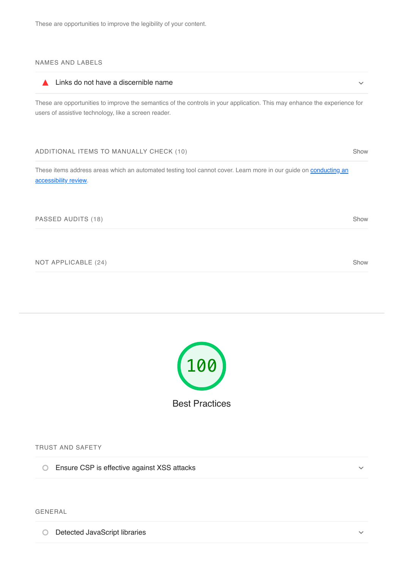# NAMES AND LABELS

#### Links do not have a discernible name  $\blacktriangle$  $\ddot{\mathbf{v}}$

These are opportunities to improve the semantics of the controls in your application. This may enhance the experience for users of assistive technology, like a screen reader.

### ADDITIONAL ITEMS TO MANUALLY CHECK (10) Show

These items address areas which an automated testing tool cannot cover. Learn more in our guide on **conducting an** accessibility review.

### PASSED AUDITS (18) Show and the state of the state of the state of the state of the state of the state of the state of the state of the state of the state of the state of the state of the state of the state of the state of

<span id="page-2-0"></span>NOT APPLICABLE (24) Show



TRUST AND SAFETY

Ensure CSP is effective against XSS attacks

# GENERAL

O Detected JavaScript libraries

 $\checkmark$